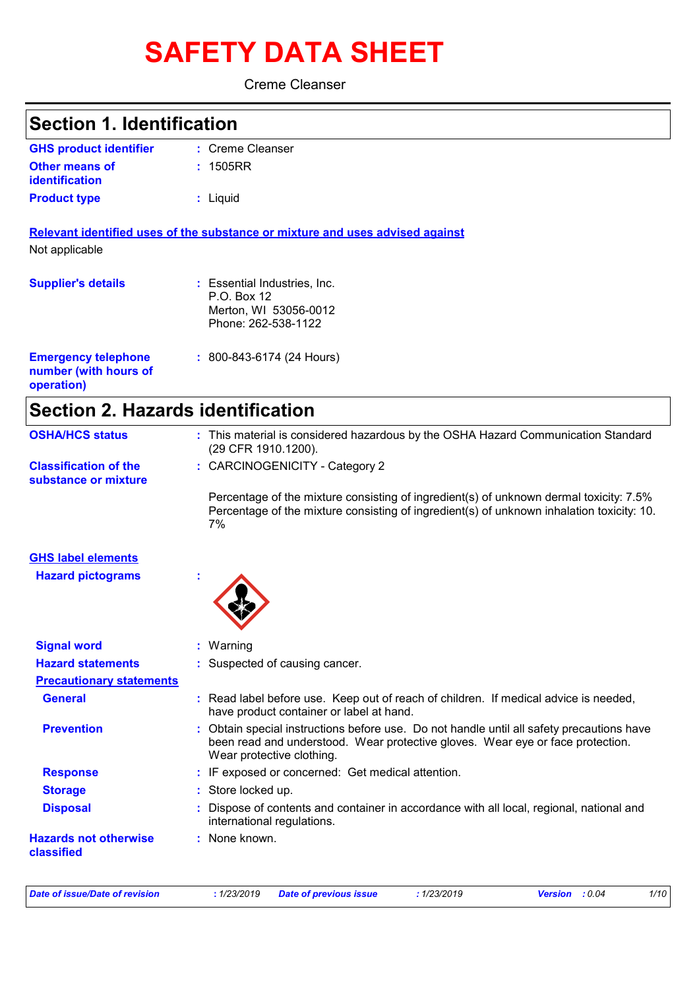# **SAFETY DATA SHEET**

Creme Cleanser

| <b>Section 1. Identification</b>                                  |                                                                                                                                                                                                        |
|-------------------------------------------------------------------|--------------------------------------------------------------------------------------------------------------------------------------------------------------------------------------------------------|
| <b>GHS product identifier</b>                                     | : Creme Cleanser                                                                                                                                                                                       |
| Other means of<br>identification                                  | : 1505RR                                                                                                                                                                                               |
| <b>Product type</b>                                               | : Liquid                                                                                                                                                                                               |
|                                                                   | Relevant identified uses of the substance or mixture and uses advised against                                                                                                                          |
| Not applicable                                                    |                                                                                                                                                                                                        |
| <b>Supplier's details</b>                                         | : Essential Industries, Inc.<br>P.O. Box 12                                                                                                                                                            |
|                                                                   | Merton, WI 53056-0012<br>Phone: 262-538-1122                                                                                                                                                           |
| <b>Emergency telephone</b><br>number (with hours of<br>operation) | $: 800 - 843 - 6174 (24$ Hours)                                                                                                                                                                        |
| <b>Section 2. Hazards identification</b>                          |                                                                                                                                                                                                        |
| <b>OSHA/HCS status</b>                                            | : This material is considered hazardous by the OSHA Hazard Communication Standard<br>(29 CFR 1910.1200).                                                                                               |
| <b>Classification of the</b><br>substance or mixture              | : CARCINOGENICITY - Category 2                                                                                                                                                                         |
|                                                                   | Percentage of the mixture consisting of ingredient(s) of unknown dermal toxicity: 7.5%<br>Percentage of the mixture consisting of ingredient(s) of unknown inhalation toxicity: 10.<br>7%              |
| <b>GHS label elements</b>                                         |                                                                                                                                                                                                        |
| <b>Hazard pictograms</b>                                          |                                                                                                                                                                                                        |
| <b>Signal word</b>                                                | : Warning                                                                                                                                                                                              |
| <b>Hazard statements</b>                                          | : Suspected of causing cancer.                                                                                                                                                                         |
| <b>Precautionary statements</b>                                   |                                                                                                                                                                                                        |
| <b>General</b>                                                    | : Read label before use. Keep out of reach of children. If medical advice is needed,<br>have product container or label at hand.                                                                       |
| <b>Prevention</b>                                                 | Obtain special instructions before use. Do not handle until all safety precautions have<br>been read and understood. Wear protective gloves. Wear eye or face protection.<br>Wear protective clothing. |
| <b>Response</b>                                                   | : IF exposed or concerned: Get medical attention.                                                                                                                                                      |
| <b>Storage</b>                                                    | Store locked up.                                                                                                                                                                                       |
| <b>Disposal</b>                                                   | Dispose of contents and container in accordance with all local, regional, national and<br>international regulations.                                                                                   |
| <b>Hazards not otherwise</b><br>classified                        | : None known.                                                                                                                                                                                          |

*Date of issue/Date of revision* **:** *1/23/2019 Date of previous issue : 1/23/2019 Version : 0.04 1/10*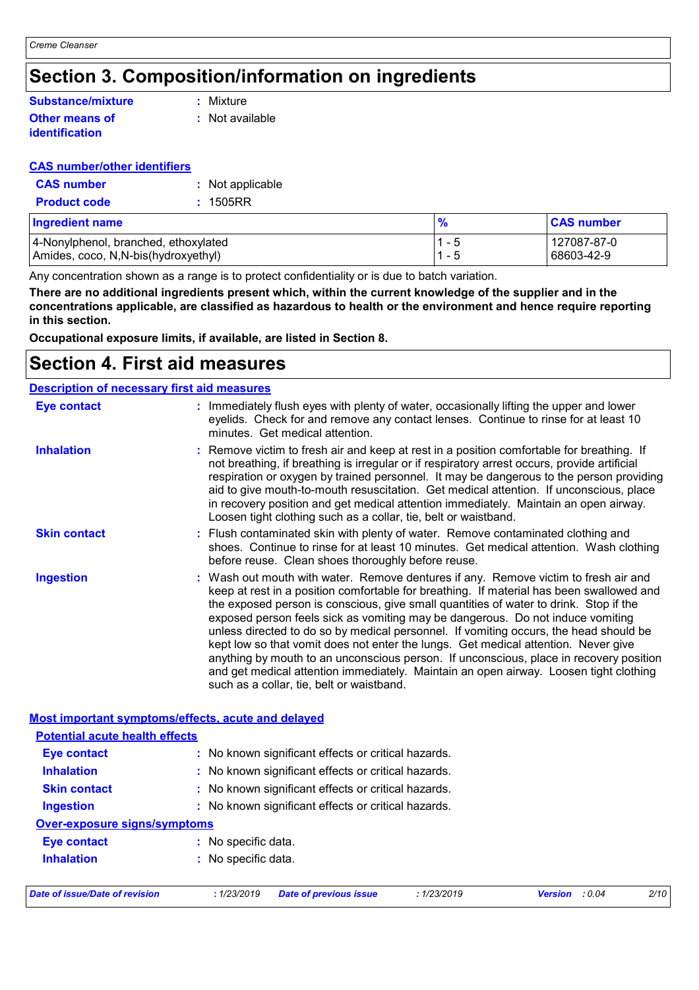### **Section 3. Composition/information on ingredients**

#### **Other means of identification Substance/mixture**

**:** Mixture

**:** Not available

#### **CAS number/other identifiers**

| <b>CAS</b> number   | : Not applicable |
|---------------------|------------------|
| <b>Product code</b> | : 1505RR         |

| <b>Ingredient name</b>                | $\bullet$ | <b>CAS number</b> |
|---------------------------------------|-----------|-------------------|
| 4-Nonylphenol, branched, ethoxylated  | - ಒ       | 127087-87-0       |
| Amides, coco, N, N-bis (hydroxyethyl) |           | 68603-42-9        |

Any concentration shown as a range is to protect confidentiality or is due to batch variation.

**There are no additional ingredients present which, within the current knowledge of the supplier and in the concentrations applicable, are classified as hazardous to health or the environment and hence require reporting in this section.**

**Occupational exposure limits, if available, are listed in Section 8.**

### **Section 4. First aid measures**

| <b>Description of necessary first aid measures</b> |                                                                                                                                                                                                                                                                                                                                                                                                                                                                                                                                                                                                                                                                                                                                                                           |
|----------------------------------------------------|---------------------------------------------------------------------------------------------------------------------------------------------------------------------------------------------------------------------------------------------------------------------------------------------------------------------------------------------------------------------------------------------------------------------------------------------------------------------------------------------------------------------------------------------------------------------------------------------------------------------------------------------------------------------------------------------------------------------------------------------------------------------------|
| <b>Eye contact</b>                                 | : Immediately flush eyes with plenty of water, occasionally lifting the upper and lower<br>eyelids. Check for and remove any contact lenses. Continue to rinse for at least 10<br>minutes. Get medical attention.                                                                                                                                                                                                                                                                                                                                                                                                                                                                                                                                                         |
| <b>Inhalation</b>                                  | : Remove victim to fresh air and keep at rest in a position comfortable for breathing. If<br>not breathing, if breathing is irregular or if respiratory arrest occurs, provide artificial<br>respiration or oxygen by trained personnel. It may be dangerous to the person providing<br>aid to give mouth-to-mouth resuscitation. Get medical attention. If unconscious, place<br>in recovery position and get medical attention immediately. Maintain an open airway.<br>Loosen tight clothing such as a collar, tie, belt or waistband.                                                                                                                                                                                                                                 |
| <b>Skin contact</b>                                | : Flush contaminated skin with plenty of water. Remove contaminated clothing and<br>shoes. Continue to rinse for at least 10 minutes. Get medical attention. Wash clothing<br>before reuse. Clean shoes thoroughly before reuse.                                                                                                                                                                                                                                                                                                                                                                                                                                                                                                                                          |
| <b>Ingestion</b>                                   | : Wash out mouth with water. Remove dentures if any. Remove victim to fresh air and<br>keep at rest in a position comfortable for breathing. If material has been swallowed and<br>the exposed person is conscious, give small quantities of water to drink. Stop if the<br>exposed person feels sick as vomiting may be dangerous. Do not induce vomiting<br>unless directed to do so by medical personnel. If vomiting occurs, the head should be<br>kept low so that vomit does not enter the lungs. Get medical attention. Never give<br>anything by mouth to an unconscious person. If unconscious, place in recovery position<br>and get medical attention immediately. Maintain an open airway. Loosen tight clothing<br>such as a collar, tie, belt or waistband. |

#### **Most important symptoms/effects, acute and delayed**

| Date of issue/Date of revision        | : 1/23/2019<br><b>Date of previous issue</b><br>: 1/23/2019 | <b>Version</b> : 0.04 | 2/10 |  |  |
|---------------------------------------|-------------------------------------------------------------|-----------------------|------|--|--|
| <b>Inhalation</b>                     | : No specific data.                                         |                       |      |  |  |
| Eye contact                           | : No specific data.                                         |                       |      |  |  |
| <b>Over-exposure signs/symptoms</b>   |                                                             |                       |      |  |  |
| <b>Ingestion</b>                      | : No known significant effects or critical hazards.         |                       |      |  |  |
| <b>Skin contact</b>                   | : No known significant effects or critical hazards.         |                       |      |  |  |
| <b>Inhalation</b>                     | : No known significant effects or critical hazards.         |                       |      |  |  |
| <b>Eye contact</b>                    | : No known significant effects or critical hazards.         |                       |      |  |  |
| <b>Potential acute health effects</b> |                                                             |                       |      |  |  |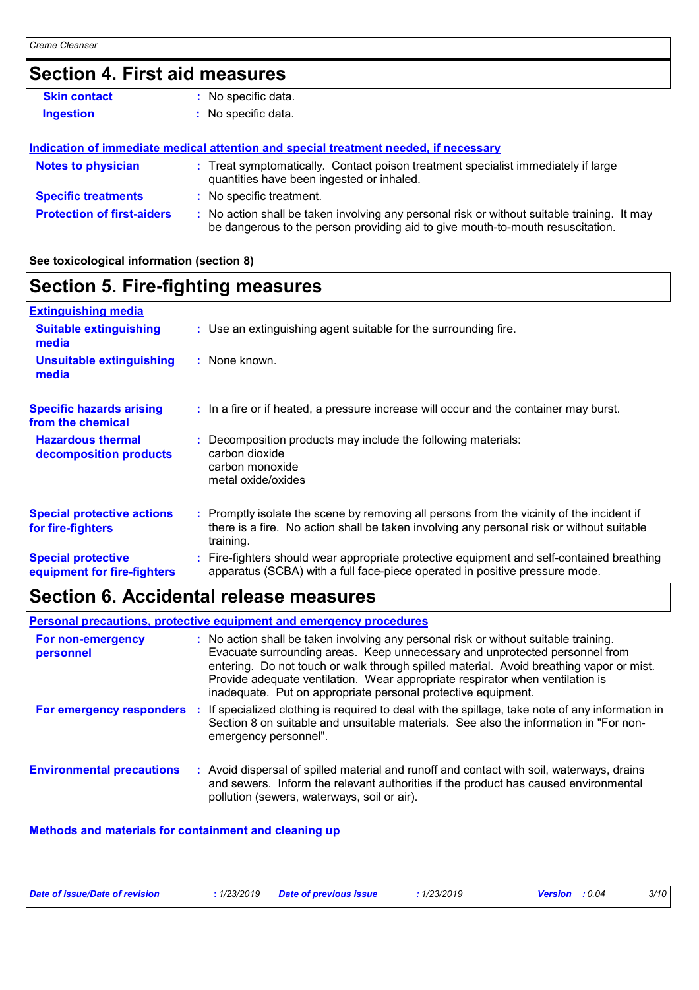### **Section 4. First aid measures**

| <b>Skin contact</b>               | No specific data.                                                                                                                                                             |
|-----------------------------------|-------------------------------------------------------------------------------------------------------------------------------------------------------------------------------|
| <b>Ingestion</b>                  | : No specific data.                                                                                                                                                           |
|                                   |                                                                                                                                                                               |
|                                   | Indication of immediate medical attention and special treatment needed, if necessary                                                                                          |
| <b>Notes to physician</b>         | : Treat symptomatically. Contact poison treatment specialist immediately if large<br>quantities have been ingested or inhaled.                                                |
| <b>Specific treatments</b>        | : No specific treatment.                                                                                                                                                      |
| <b>Protection of first-aiders</b> | : No action shall be taken involving any personal risk or without suitable training. It may<br>be dangerous to the person providing aid to give mouth-to-mouth resuscitation. |

#### **See toxicological information (section 8)**

### **Section 5. Fire-fighting measures**

| <b>Extinguishing media</b>                               |                                                                                                                                                                                                     |
|----------------------------------------------------------|-----------------------------------------------------------------------------------------------------------------------------------------------------------------------------------------------------|
| <b>Suitable extinguishing</b><br>media                   | : Use an extinguishing agent suitable for the surrounding fire.                                                                                                                                     |
| Unsuitable extinguishing<br>media                        | : None known.                                                                                                                                                                                       |
| <b>Specific hazards arising</b><br>from the chemical     | : In a fire or if heated, a pressure increase will occur and the container may burst.                                                                                                               |
| <b>Hazardous thermal</b><br>decomposition products       | : Decomposition products may include the following materials:<br>carbon dioxide<br>carbon monoxide<br>metal oxide/oxides                                                                            |
| <b>Special protective actions</b><br>for fire-fighters   | : Promptly isolate the scene by removing all persons from the vicinity of the incident if<br>there is a fire. No action shall be taken involving any personal risk or without suitable<br>training. |
| <b>Special protective</b><br>equipment for fire-fighters | : Fire-fighters should wear appropriate protective equipment and self-contained breathing<br>apparatus (SCBA) with a full face-piece operated in positive pressure mode.                            |

### **Section 6. Accidental release measures**

|                                  |    | <b>Personal precautions, protective equipment and emergency procedures</b>                                                                                                                                                                                                                                                                                                                                       |
|----------------------------------|----|------------------------------------------------------------------------------------------------------------------------------------------------------------------------------------------------------------------------------------------------------------------------------------------------------------------------------------------------------------------------------------------------------------------|
| For non-emergency<br>personnel   |    | : No action shall be taken involving any personal risk or without suitable training.<br>Evacuate surrounding areas. Keep unnecessary and unprotected personnel from<br>entering. Do not touch or walk through spilled material. Avoid breathing vapor or mist.<br>Provide adequate ventilation. Wear appropriate respirator when ventilation is<br>inadequate. Put on appropriate personal protective equipment. |
| For emergency responders         | Ω. | If specialized clothing is required to deal with the spillage, take note of any information in<br>Section 8 on suitable and unsuitable materials. See also the information in "For non-<br>emergency personnel".                                                                                                                                                                                                 |
| <b>Environmental precautions</b> |    | : Avoid dispersal of spilled material and runoff and contact with soil, waterways, drains<br>and sewers. Inform the relevant authorities if the product has caused environmental<br>pollution (sewers, waterways, soil or air).                                                                                                                                                                                  |

#### **Methods and materials for containment and cleaning up**

| Date of issue/Date of revision | : 1/23/2019 Date of previous issue | 1/23/2019 | <b>Version</b> : 0.04 | 3/10 |
|--------------------------------|------------------------------------|-----------|-----------------------|------|
|                                |                                    |           |                       |      |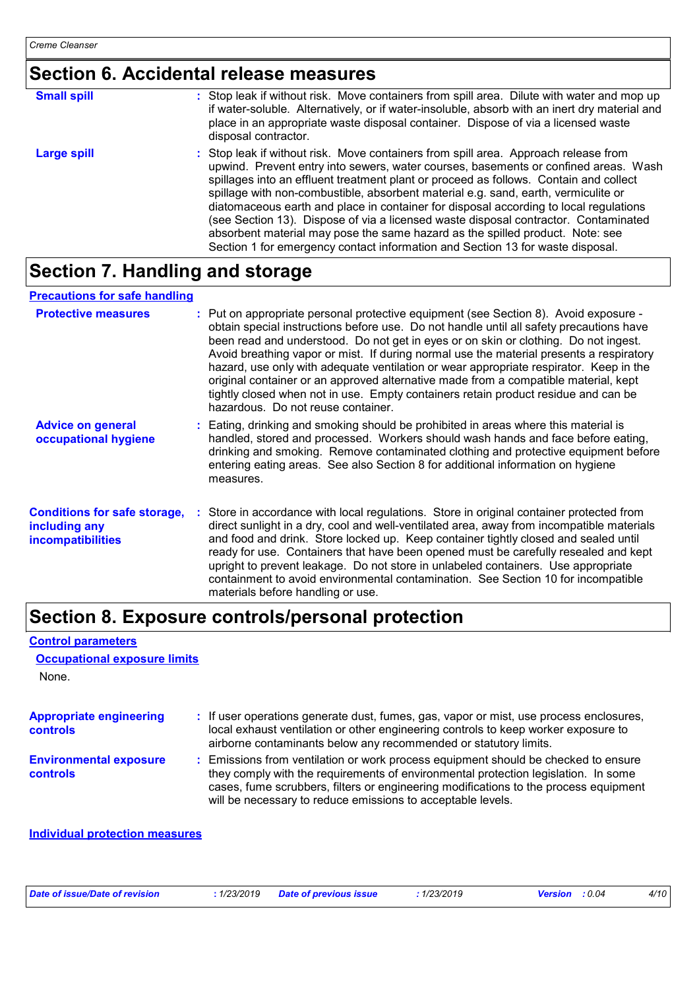### **Section 6. Accidental release measures**

| <b>Small spill</b> | : Stop leak if without risk. Move containers from spill area. Dilute with water and mop up<br>if water-soluble. Alternatively, or if water-insoluble, absorb with an inert dry material and<br>place in an appropriate waste disposal container. Dispose of via a licensed waste<br>disposal contractor.                                                                                                                                                                                                                                                                                                                                                                                                     |
|--------------------|--------------------------------------------------------------------------------------------------------------------------------------------------------------------------------------------------------------------------------------------------------------------------------------------------------------------------------------------------------------------------------------------------------------------------------------------------------------------------------------------------------------------------------------------------------------------------------------------------------------------------------------------------------------------------------------------------------------|
| <b>Large spill</b> | : Stop leak if without risk. Move containers from spill area. Approach release from<br>upwind. Prevent entry into sewers, water courses, basements or confined areas. Wash<br>spillages into an effluent treatment plant or proceed as follows. Contain and collect<br>spillage with non-combustible, absorbent material e.g. sand, earth, vermiculite or<br>diatomaceous earth and place in container for disposal according to local regulations<br>(see Section 13). Dispose of via a licensed waste disposal contractor. Contaminated<br>absorbent material may pose the same hazard as the spilled product. Note: see<br>Section 1 for emergency contact information and Section 13 for waste disposal. |

### **Section 7. Handling and storage**

#### **Precautions for safe handling**

| <b>Protective measures</b>                                                       | : Put on appropriate personal protective equipment (see Section 8). Avoid exposure -<br>obtain special instructions before use. Do not handle until all safety precautions have<br>been read and understood. Do not get in eyes or on skin or clothing. Do not ingest.<br>Avoid breathing vapor or mist. If during normal use the material presents a respiratory<br>hazard, use only with adequate ventilation or wear appropriate respirator. Keep in the<br>original container or an approved alternative made from a compatible material, kept<br>tightly closed when not in use. Empty containers retain product residue and can be<br>hazardous. Do not reuse container. |
|----------------------------------------------------------------------------------|--------------------------------------------------------------------------------------------------------------------------------------------------------------------------------------------------------------------------------------------------------------------------------------------------------------------------------------------------------------------------------------------------------------------------------------------------------------------------------------------------------------------------------------------------------------------------------------------------------------------------------------------------------------------------------|
| <b>Advice on general</b><br>occupational hygiene                                 | : Eating, drinking and smoking should be prohibited in areas where this material is<br>handled, stored and processed. Workers should wash hands and face before eating,<br>drinking and smoking. Remove contaminated clothing and protective equipment before<br>entering eating areas. See also Section 8 for additional information on hygiene<br>measures.                                                                                                                                                                                                                                                                                                                  |
| <b>Conditions for safe storage,</b><br>including any<br><b>incompatibilities</b> | : Store in accordance with local regulations. Store in original container protected from<br>direct sunlight in a dry, cool and well-ventilated area, away from incompatible materials<br>and food and drink. Store locked up. Keep container tightly closed and sealed until<br>ready for use. Containers that have been opened must be carefully resealed and kept<br>upright to prevent leakage. Do not store in unlabeled containers. Use appropriate<br>containment to avoid environmental contamination. See Section 10 for incompatible<br>materials before handling or use.                                                                                             |

### **Section 8. Exposure controls/personal protection**

#### **Control parameters**

| <b>Occupational exposure limits</b> |  |  |
|-------------------------------------|--|--|
|-------------------------------------|--|--|

None.

| <b>Appropriate engineering</b><br><b>controls</b> | : If user operations generate dust, fumes, gas, vapor or mist, use process enclosures,<br>local exhaust ventilation or other engineering controls to keep worker exposure to<br>airborne contaminants below any recommended or statutory limits.                                                                                |
|---------------------------------------------------|---------------------------------------------------------------------------------------------------------------------------------------------------------------------------------------------------------------------------------------------------------------------------------------------------------------------------------|
| <b>Environmental exposure</b><br><b>controls</b>  | : Emissions from ventilation or work process equipment should be checked to ensure<br>they comply with the requirements of environmental protection legislation. In some<br>cases, fume scrubbers, filters or engineering modifications to the process equipment<br>will be necessary to reduce emissions to acceptable levels. |

#### **Individual protection measures**

| Date of issue/Date of revision |  | : 1/23/2019 Date of previous issue | 1/23/2019 | <b>Version</b> : 0.04 | 4/10 |
|--------------------------------|--|------------------------------------|-----------|-----------------------|------|
|--------------------------------|--|------------------------------------|-----------|-----------------------|------|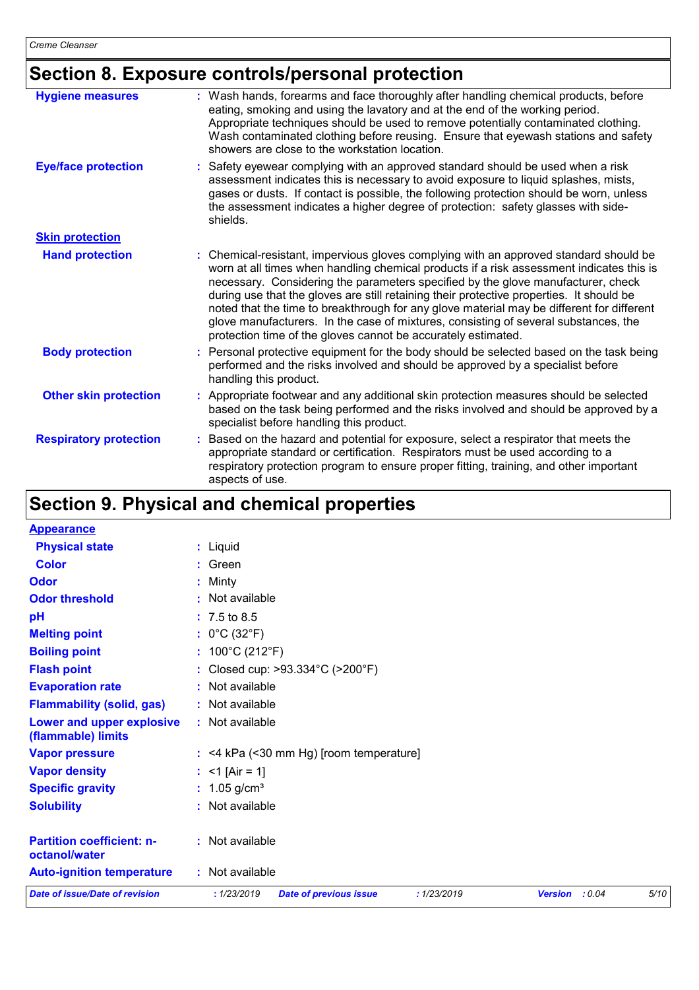## **Section 8. Exposure controls/personal protection**

| <b>Hygiene measures</b>       | : Wash hands, forearms and face thoroughly after handling chemical products, before<br>eating, smoking and using the lavatory and at the end of the working period.<br>Appropriate techniques should be used to remove potentially contaminated clothing.<br>Wash contaminated clothing before reusing. Ensure that eyewash stations and safety<br>showers are close to the workstation location.                                                                                                                                                                                                                      |
|-------------------------------|------------------------------------------------------------------------------------------------------------------------------------------------------------------------------------------------------------------------------------------------------------------------------------------------------------------------------------------------------------------------------------------------------------------------------------------------------------------------------------------------------------------------------------------------------------------------------------------------------------------------|
| <b>Eye/face protection</b>    | : Safety eyewear complying with an approved standard should be used when a risk<br>assessment indicates this is necessary to avoid exposure to liquid splashes, mists,<br>gases or dusts. If contact is possible, the following protection should be worn, unless<br>the assessment indicates a higher degree of protection: safety glasses with side-<br>shields.                                                                                                                                                                                                                                                     |
| <b>Skin protection</b>        |                                                                                                                                                                                                                                                                                                                                                                                                                                                                                                                                                                                                                        |
| <b>Hand protection</b>        | : Chemical-resistant, impervious gloves complying with an approved standard should be<br>worn at all times when handling chemical products if a risk assessment indicates this is<br>necessary. Considering the parameters specified by the glove manufacturer, check<br>during use that the gloves are still retaining their protective properties. It should be<br>noted that the time to breakthrough for any glove material may be different for different<br>glove manufacturers. In the case of mixtures, consisting of several substances, the<br>protection time of the gloves cannot be accurately estimated. |
| <b>Body protection</b>        | : Personal protective equipment for the body should be selected based on the task being<br>performed and the risks involved and should be approved by a specialist before<br>handling this product.                                                                                                                                                                                                                                                                                                                                                                                                                    |
| <b>Other skin protection</b>  | : Appropriate footwear and any additional skin protection measures should be selected<br>based on the task being performed and the risks involved and should be approved by a<br>specialist before handling this product.                                                                                                                                                                                                                                                                                                                                                                                              |
| <b>Respiratory protection</b> | : Based on the hazard and potential for exposure, select a respirator that meets the<br>appropriate standard or certification. Respirators must be used according to a<br>respiratory protection program to ensure proper fitting, training, and other important<br>aspects of use.                                                                                                                                                                                                                                                                                                                                    |

## **Section 9. Physical and chemical properties**

| <b>Appearance</b>                                 |                                                             |                |      |
|---------------------------------------------------|-------------------------------------------------------------|----------------|------|
| <b>Physical state</b>                             | : Liquid                                                    |                |      |
| <b>Color</b>                                      | $:$ Green                                                   |                |      |
| Odor                                              | : Minty                                                     |                |      |
| <b>Odor threshold</b>                             | : Not available                                             |                |      |
| pH                                                | $: 7.5 \text{ to } 8.5$                                     |                |      |
| <b>Melting point</b>                              | : $0^{\circ}$ C (32 $^{\circ}$ F)                           |                |      |
| <b>Boiling point</b>                              | : $100^{\circ}$ C (212 $^{\circ}$ F)                        |                |      |
| <b>Flash point</b>                                | : Closed cup: >93.334°C (>200°F)                            |                |      |
| <b>Evaporation rate</b>                           | : Not available                                             |                |      |
| <b>Flammability (solid, gas)</b>                  | : Not available                                             |                |      |
| Lower and upper explosive<br>(flammable) limits   | : Not available                                             |                |      |
| <b>Vapor pressure</b>                             | $:$ <4 kPa (<30 mm Hg) [room temperature]                   |                |      |
| <b>Vapor density</b>                              | : <1 [Air = 1]                                              |                |      |
| <b>Specific gravity</b>                           | : $1.05$ g/cm <sup>3</sup>                                  |                |      |
| <b>Solubility</b>                                 | : Not available                                             |                |      |
| <b>Partition coefficient: n-</b><br>octanol/water | : Not available                                             |                |      |
| <b>Auto-ignition temperature</b>                  | : Not available                                             |                |      |
| <b>Date of issue/Date of revision</b>             | : 1/23/2019<br><b>Date of previous issue</b><br>: 1/23/2019 | Version : 0.04 | 5/10 |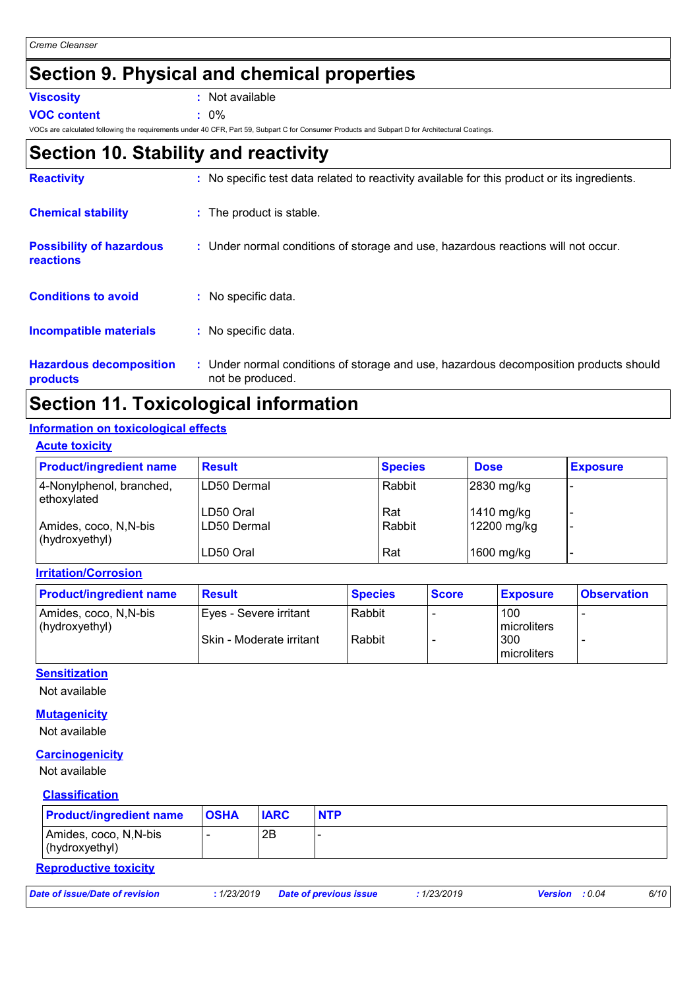### **Section 9. Physical and chemical properties**

**Viscosity :** Not available

**VOC content :** 0%

VOCs are calculated following the requirements under 40 CFR, Part 59, Subpart C for Consumer Products and Subpart D for Architectural Coatings.

### **Section 10. Stability and reactivity**

| <b>Reactivity</b>                            | : No specific test data related to reactivity available for this product or its ingredients.              |
|----------------------------------------------|-----------------------------------------------------------------------------------------------------------|
| <b>Chemical stability</b>                    | : The product is stable.                                                                                  |
| <b>Possibility of hazardous</b><br>reactions | : Under normal conditions of storage and use, hazardous reactions will not occur.                         |
| <b>Conditions to avoid</b>                   | No specific data.                                                                                         |
| <b>Incompatible materials</b>                | : No specific data.                                                                                       |
| <b>Hazardous decomposition</b><br>products   | : Under normal conditions of storage and use, hazardous decomposition products should<br>not be produced. |

### **Section 11. Toxicological information**

#### **Information on toxicological effects**

#### **Acute toxicity**

| <b>Product/ingredient name</b>           | <b>Result</b> | <b>Species</b> | <b>Dose</b>  | <b>Exposure</b> |
|------------------------------------------|---------------|----------------|--------------|-----------------|
| 4-Nonylphenol, branched,<br>ethoxylated  | LD50 Dermal   | Rabbit         | $2830$ mg/kg |                 |
|                                          | LD50 Oral     | Rat            | 1410 mg/kg   |                 |
| Amides, coco, N, N-bis<br>(hydroxyethyl) | LD50 Dermal   | Rabbit         | 12200 mg/kg  |                 |
|                                          | LD50 Oral     | Rat            | $1600$ mg/kg |                 |

**Irritation/Corrosion**

| <b>Product/ingredient name</b>          | <b>Result</b>             | <b>Species</b> | <b>Score</b> | <b>Exposure</b>    | <b>Observation</b> |
|-----------------------------------------|---------------------------|----------------|--------------|--------------------|--------------------|
| Amides, coco, N,N-bis<br>(hydroxyethyl) | Eyes - Severe irritant    | Rabbit         |              | 100<br>microliters |                    |
|                                         | ISkin - Moderate irritant | Rabbit         |              | 300<br>microliters |                    |

#### **Sensitization**

Not available

**Mutagenicity**

Not available

#### **Carcinogenicity**

Not available

#### **Classification**

| <b>Product/ingredient name</b>           | <b>OSHA</b> | <b>IARC</b> | <b>NTP</b> |
|------------------------------------------|-------------|-------------|------------|
| Amides, coco, N, N-bis<br>(hydroxyethyl) |             | 2B          |            |

#### **Reproductive toxicity**

*Date of issue/Date of revision* **:** *1/23/2019 Date of previous issue : 1/23/2019 Version : 0.04 6/10*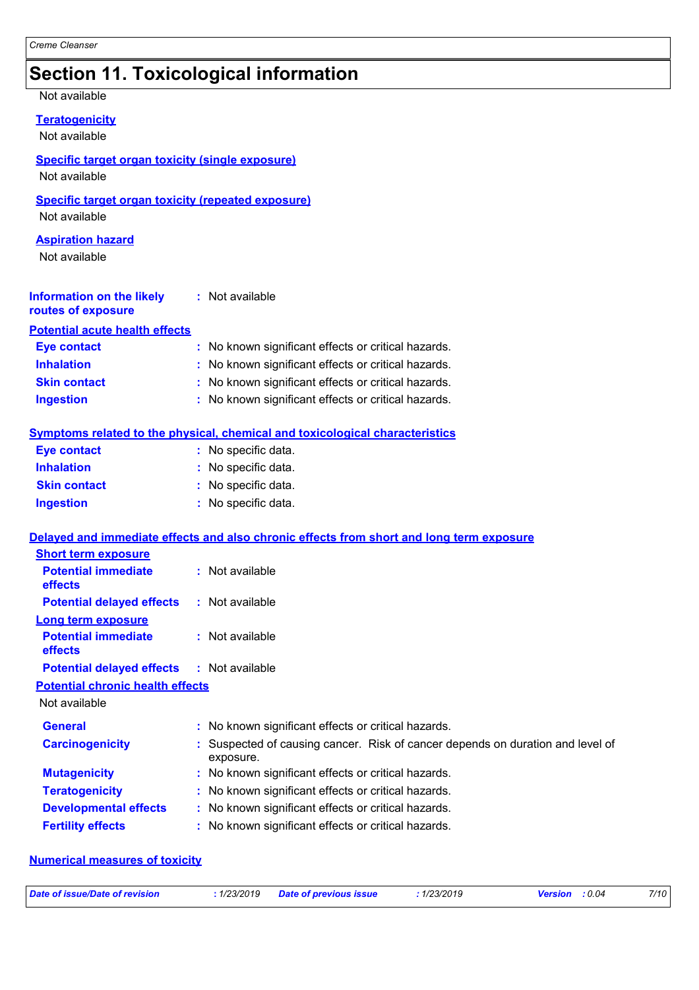### **Section 11. Toxicological information**

Not available

| <b>Teratogenicity</b> |  |
|-----------------------|--|

Not available

#### **Specific target organ toxicity (single exposure)**

Not available

#### **Specific target organ toxicity (repeated exposure)**

Not available

#### **Aspiration hazard**

Not available

| <b>Information on the likely</b>      | : Not available |  |
|---------------------------------------|-----------------|--|
| routes of exposure                    |                 |  |
| <b>Potential acute health effects</b> |                 |  |

| <b>Eye contact</b>  | : No known significant effects or critical hazards. |
|---------------------|-----------------------------------------------------|
| <b>Inhalation</b>   | : No known significant effects or critical hazards. |
| <b>Skin contact</b> | : No known significant effects or critical hazards. |
| <b>Ingestion</b>    | : No known significant effects or critical hazards. |

#### **Symptoms related to the physical, chemical and toxicological characteristics**

| <b>Eye contact</b>  | : No specific data. |
|---------------------|---------------------|
| <b>Inhalation</b>   | : No specific data. |
| <b>Skin contact</b> | : No specific data. |
| <b>Ingestion</b>    | : No specific data. |

#### **Delayed and immediate effects and also chronic effects from short and long term exposure**

| <b>Short term exposure</b>                   |                                                                                             |
|----------------------------------------------|---------------------------------------------------------------------------------------------|
| <b>Potential immediate</b><br><b>effects</b> | $:$ Not available                                                                           |
| <b>Potential delayed effects</b>             | : Not available                                                                             |
| <b>Long term exposure</b>                    |                                                                                             |
| <b>Potential immediate</b><br><b>effects</b> | : Not available                                                                             |
| <b>Potential delayed effects</b>             | : Not available                                                                             |
| <b>Potential chronic health effects</b>      |                                                                                             |
| Not available                                |                                                                                             |
| <b>General</b>                               | : No known significant effects or critical hazards.                                         |
| <b>Carcinogenicity</b>                       | : Suspected of causing cancer. Risk of cancer depends on duration and level of<br>exposure. |
| <b>Mutagenicity</b>                          | : No known significant effects or critical hazards.                                         |
| <b>Teratogenicity</b>                        | : No known significant effects or critical hazards.                                         |
| <b>Developmental effects</b>                 | : No known significant effects or critical hazards.                                         |
| <b>Fertility effects</b>                     | : No known significant effects or critical hazards.                                         |

#### **Numerical measures of toxicity**

| Date of issue/Date of revision | : 1/23/2019 Date of previous issue | : 1/23/2019 | <b>Version</b> : 0.04 | 7/10 |
|--------------------------------|------------------------------------|-------------|-----------------------|------|
|                                |                                    |             |                       |      |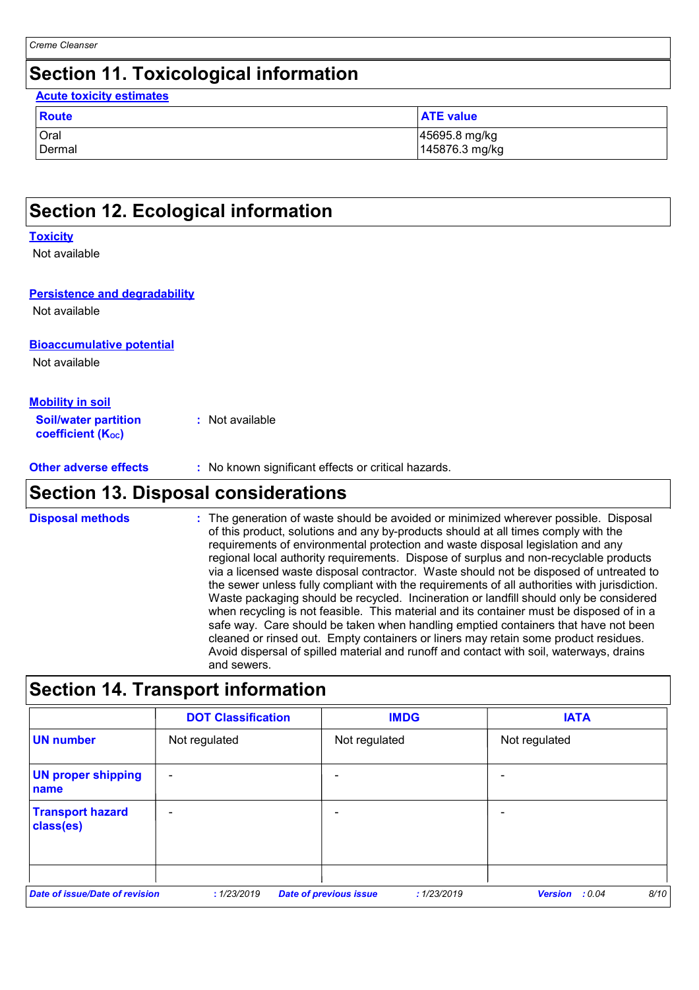### **Section 11. Toxicological information**

| <b>Acute toxicity estimates</b> |                                 |
|---------------------------------|---------------------------------|
| <b>Route</b>                    | <b>ATE value</b>                |
| Oral<br>Dermal                  | 45695.8 mg/kg<br>145876.3 mg/kg |

### **Section 12. Ecological information**

#### **Toxicity**

Not available

#### **Persistence and degradability**

Not available

#### **Bioaccumulative potential**

Not available

#### **Mobility in soil**

| <b>Soil/water partition</b> | : Not available |
|-----------------------------|-----------------|
| <b>coefficient (Koc)</b>    |                 |

### **Section 13. Disposal considerations**

The generation of waste should be avoided or minimized wherever possible. Disposal of this product, solutions and any by-products should at all times comply with the requirements of environmental protection and waste disposal legislation and any regional local authority requirements. Dispose of surplus and non-recyclable products via a licensed waste disposal contractor. Waste should not be disposed of untreated to the sewer unless fully compliant with the requirements of all authorities with jurisdiction. Waste packaging should be recycled. Incineration or landfill should only be considered when recycling is not feasible. This material and its container must be disposed of in a safe way. Care should be taken when handling emptied containers that have not been cleaned or rinsed out. Empty containers or liners may retain some product residues. Avoid dispersal of spilled material and runoff and contact with soil, waterways, drains and sewers. **Disposal methods :**

### **Section 14. Transport information**

|                                       | <b>DOT Classification</b> | <b>IMDG</b>                                  | <b>IATA</b>                      |
|---------------------------------------|---------------------------|----------------------------------------------|----------------------------------|
| <b>UN number</b>                      | Not regulated             | Not regulated                                | Not regulated                    |
| <b>UN proper shipping</b><br>name     | $\overline{\phantom{a}}$  | -                                            |                                  |
| <b>Transport hazard</b><br>class(es)  | $\overline{\phantom{a}}$  | -                                            |                                  |
| <b>Date of issue/Date of revision</b> | : 1/23/2019               | <b>Date of previous issue</b><br>: 1/23/2019 | 8/10<br><b>Version</b><br>: 0.04 |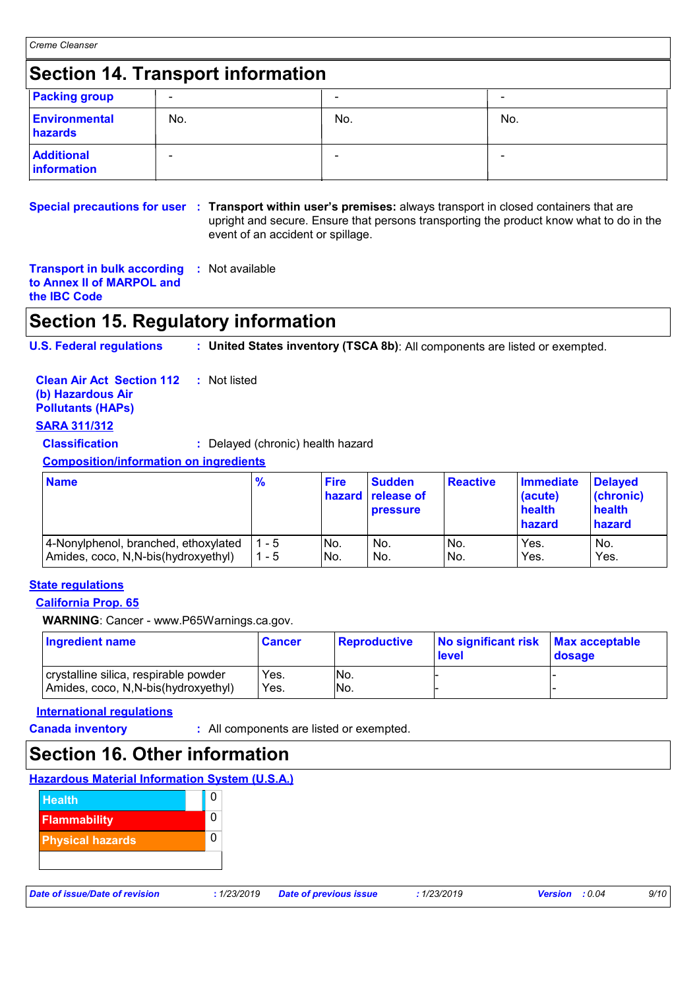### **Section 14. Transport information**

| <b>Packing group</b>             | $\overline{\phantom{a}}$ | -   | $\blacksquare$ |
|----------------------------------|--------------------------|-----|----------------|
| <b>Environmental</b><br>hazards  | No.                      | No. | No.            |
| <b>Additional</b><br>information | $\blacksquare$           | -   | $\blacksquare$ |

**Special precautions for user Transport within user's premises:** always transport in closed containers that are **:** upright and secure. Ensure that persons transporting the product know what to do in the event of an accident or spillage.

**Transport in bulk according :** Not available **to Annex II of MARPOL and the IBC Code**

### **Section 15. Regulatory information**

**U.S. Federal regulations : United States inventory (TSCA 8b)**: All components are listed or exempted.

| <b>Clean Air Act Section 112</b> : Not listed<br>(b) Hazardous Air<br><b>Pollutants (HAPs)</b> |                                   |             |               |
|------------------------------------------------------------------------------------------------|-----------------------------------|-------------|---------------|
| <b>SARA 311/312</b>                                                                            |                                   |             |               |
| <b>Classification</b>                                                                          | : Delayed (chronic) health hazard |             |               |
| <b>Composition/information on ingredients</b>                                                  |                                   |             |               |
|                                                                                                |                                   | <b>Fire</b> | <b>Sudden</b> |

| <b>Name</b>                           | $\frac{9}{6}$ | <b>Fire</b> | <b>Sudden</b><br><b>hazard</b> release of<br><b>pressure</b> | <b>Reactive</b> | <b>Immediate</b><br>(acute)<br>health<br>hazard | <b>Delayed</b><br>(chronic)<br>health<br>hazard |
|---------------------------------------|---------------|-------------|--------------------------------------------------------------|-----------------|-------------------------------------------------|-------------------------------------------------|
| 4-Nonylphenol, branched, ethoxylated  | 1 - 5         | No.         | No.                                                          | INo.            | Yes.                                            | No.                                             |
| Amides, coco, N, N-bis (hydroxyethyl) | 1 - 5         | No.         | No.                                                          | No.             | Yes.                                            | Yes.                                            |

#### **State regulations**

#### **California Prop. 65**

**WARNING**: Cancer - www.P65Warnings.ca.gov.

| Ingredient name                                                              | ∣Cancer      | Reproductive | No significant risk<br><b>level</b> | <b>Max acceptable</b><br>dosage |
|------------------------------------------------------------------------------|--------------|--------------|-------------------------------------|---------------------------------|
| crystalline silica, respirable powder<br>Amides, coco, N,N-bis(hydroxyethyl) | Yes.<br>Yes. | INo.<br>INo. |                                     |                                 |

#### **International regulations**

**Canada inventory :** All components are listed or exempted.

### **Section 16. Other information**

| <b>Hazardous Material Information System (U.S.A.)</b> |
|-------------------------------------------------------|
|-------------------------------------------------------|